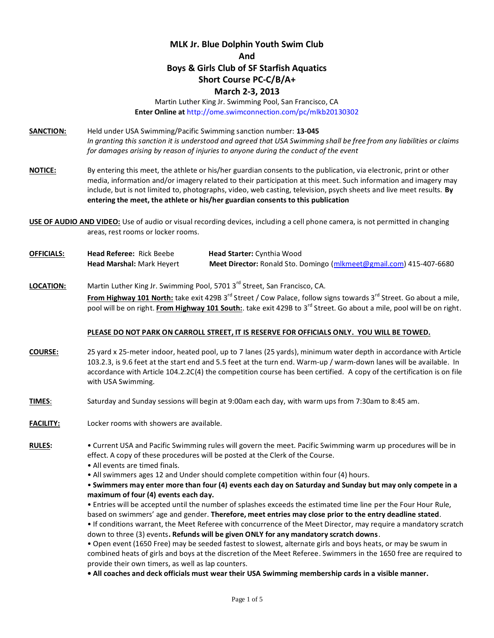# **MLK Jr. Blue Dolphin Youth Swim Club And Boys & Girls Club of SF Starfish Aquatics Short Course PC-C/B/A+**

## **March 2-3, 2013**

Martin Luther King Jr. Swimming Pool, San Francisco, CA **Enter Online at** http://ome.swimconnection.com/pc/mlkb20130302

- **SANCTION:** Held under USA Swimming/Pacific Swimming sanction number: **13-045** *In granting this sanction it is understood and agreed that USA Swimming shall be free from any liabilities or claims for damages arising by reason of injuries to anyone during the conduct of the event*
- **NOTICE:** By entering this meet, the athlete or his/her guardian consents to the publication, via electronic, print or other media, information and/or imagery related to their participation at this meet. Such information and imagery may include, but is not limited to, photographs, video, web casting, television, psych sheets and live meet results. **By entering the meet, the athlete or his/her guardian consents to this publication**
- **USE OF AUDIO AND VIDEO:** Use of audio or visual recording devices, including a cell phone camera, is not permitted in changing areas, rest rooms or locker rooms.
- **OFFICIALS: Head Referee:** Rick Beebe **Head Starter:** Cynthia Wood **Head Marshal:** Mark Heyert **Meet Director:** Ronald Sto. Domingo [\(mlkmeet@gmail.com\)](mailto:mlkmeet@gmail.com) 415-407-6680

### LOCATION: Martin Luther King Jr. Swimming Pool, 5701 3<sup>rd</sup> Street, San Francisco, CA.

**From Highway 101 North:** take exit 429B 3<sup>rd</sup> Street / Cow Palace, follow signs towards 3<sup>rd</sup> Street. Go about a mile, pool will be on right. From Highway 101 South: take exit 429B to 3<sup>rd</sup> Street. Go about a mile, pool will be on right.

#### **PLEASE DO NOT PARK ON CARROLL STREET, IT IS RESERVE FOR OFFICIALS ONLY. YOU WILL BE TOWED.**

- **COURSE:** 25 yard x 25-meter indoor, heated pool, up to 7 lanes (25 yards), minimum water depth in accordance with Article 103.2.3, is 9.6 feet at the start end and 5.5 feet at the turn end. Warm-up / warm-down lanes will be available. In accordance with Article 104.2.2C(4) the competition course has been certified. A copy of the certification is on file with USA Swimming.
- **TIMES**: Saturday and Sunday sessions will begin at 9:00am each day, with warm ups from 7:30am to 8:45 am.
- **FACILITY:** Locker rooms with showers are available.

**RULES:** • Current USA and Pacific Swimming rules will govern the meet. Pacific Swimming warm up procedures will be in effect. A copy of these procedures will be posted at the Clerk of the Course.

- All events are timed finals.
- All swimmers ages 12 and Under should complete competition within four (4) hours.

• **Swimmers may enter more than four (4) events each day on Saturday and Sunday but may only compete in a maximum of four (4) events each day.** 

• Entries will be accepted until the number of splashes exceeds the estimated time line per the Four Hour Rule, based on swimmers' age and gender. **Therefore, meet entries may close prior to the entry deadline stated**.

• If conditions warrant, the Meet Referee with concurrence of the Meet Director, may require a mandatory scratch down to three (3) events**. Refunds will be given ONLY for any mandatory scratch downs**.

• Open event (1650 Free) may be seeded fastest to slowest, alternate girls and boys heats, or may be swum in combined heats of girls and boys at the discretion of the Meet Referee. Swimmers in the 1650 free are required to provide their own timers, as well as lap counters.

**• All coaches and deck officials must wear their USA Swimming membership cards in a visible manner.**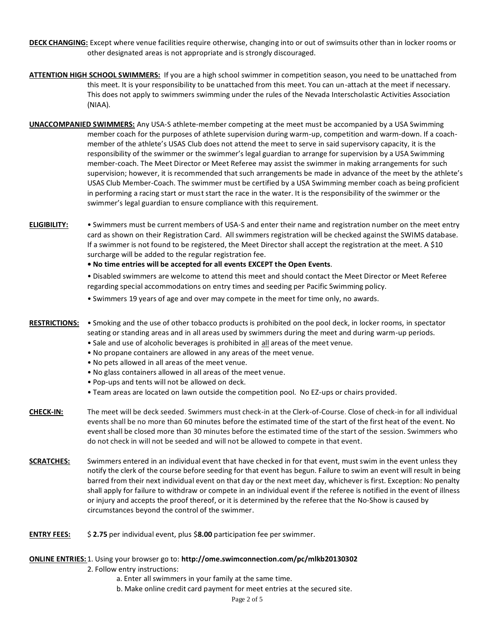- **DECK CHANGING:** Except where venue facilities require otherwise, changing into or out of swimsuits other than in locker rooms or other designated areas is not appropriate and is strongly discouraged.
- **ATTENTION HIGH SCHOOL SWIMMERS:** If you are a high school swimmer in competition season, you need to be unattached from this meet. It is your responsibility to be unattached from this meet. You can un-attach at the meet if necessary. This does not apply to swimmers swimming under the rules of the Nevada Interscholastic Activities Association (NIAA).
- **UNACCOMPANIED SWIMMERS:** Any USA-S athlete-member competing at the meet must be accompanied by a USA Swimming member coach for the purposes of athlete supervision during warm-up, competition and warm-down. If a coachmember of the athlete's USAS Club does not attend the meet to serve in said supervisory capacity, it is the responsibility of the swimmer or the swimmer's legal guardian to arrange for supervision by a USA Swimming member-coach. The Meet Director or Meet Referee may assist the swimmer in making arrangements for such supervision; however, it is recommended that such arrangements be made in advance of the meet by the athlete's USAS Club Member-Coach. The swimmer must be certified by a USA Swimming member coach as being proficient in performing a racing start or must start the race in the water. It is the responsibility of the swimmer or the swimmer's legal guardian to ensure compliance with this requirement.
- **ELIGIBILITY:** Swimmers must be current members of USA-S and enter their name and registration number on the meet entry card as shown on their Registration Card. All swimmers registration will be checked against the SWIMS database. If a swimmer is not found to be registered, the Meet Director shall accept the registration at the meet. A \$10 surcharge will be added to the regular registration fee.
	- **No time entries will be accepted for all events EXCEPT the Open Events**.
	- Disabled swimmers are welcome to attend this meet and should contact the Meet Director or Meet Referee regarding special accommodations on entry times and seeding per Pacific Swimming policy.
	- Swimmers 19 years of age and over may compete in the meet for time only, no awards.
- **RESTRICTIONS:** Smoking and the use of other tobacco products is prohibited on the pool deck, in locker rooms, in spectator seating or standing areas and in all areas used by swimmers during the meet and during warm-up periods.
	- Sale and use of alcoholic beverages is prohibited in all areas of the meet venue.
	- No propane containers are allowed in any areas of the meet venue.
	- No pets allowed in all areas of the meet venue.
	- No glass containers allowed in all areas of the meet venue.
	- Pop-ups and tents will not be allowed on deck.
	- Team areas are located on lawn outside the competition pool. No EZ-ups or chairs provided.
- **CHECK-IN:** The meet will be deck seeded. Swimmers must check-in at the Clerk-of-Course. Close of check-in for all individual events shall be no more than 60 minutes before the estimated time of the start of the first heat of the event. No event shall be closed more than 30 minutes before the estimated time of the start of the session. Swimmers who do not check in will not be seeded and will not be allowed to compete in that event.
- **SCRATCHES:** Swimmers entered in an individual event that have checked in for that event, must swim in the event unless they notify the clerk of the course before seeding for that event has begun. Failure to swim an event will result in being barred from their next individual event on that day or the next meet day, whichever is first. Exception: No penalty shall apply for failure to withdraw or compete in an individual event if the referee is notified in the event of illness or injury and accepts the proof thereof, or it is determined by the referee that the No-Show is caused by circumstances beyond the control of the swimmer.
- **ENTRY FEES:** \$ **2.75** per individual event, plus \$**8.00** participation fee per swimmer.

## **ONLINE ENTRIES:** 1. Using your browser go to: **http://ome.swimconnection.com/pc/mlkb20130302**

- 2. Follow entry instructions:
	- a. Enter all swimmers in your family at the same time.
	- b. Make online credit card payment for meet entries at the secured site.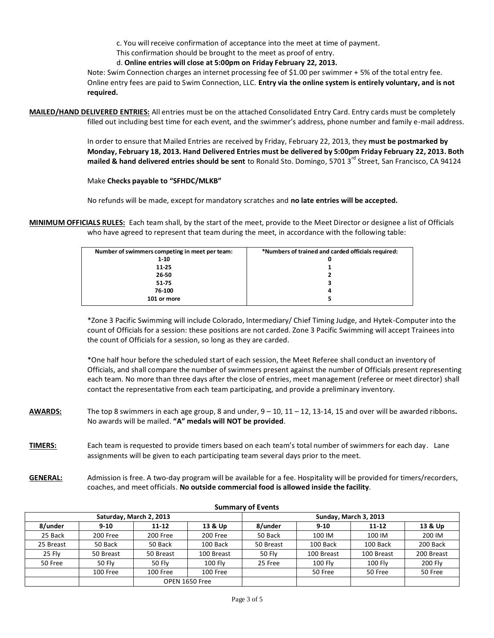c. You will receive confirmation of acceptance into the meet at time of payment.

This confirmation should be brought to the meet as proof of entry.

d. **Online entries will close at 5:00pm on Friday February 22, 2013.**

Note: Swim Connection charges an internet processing fee of \$1.00 per swimmer + 5% of the total entry fee. Online entry fees are paid to Swim Connection, LLC. **Entry via the online system is entirely voluntary, and is not required.**

**MAILED/HAND DELIVERED ENTRIES:** All entries must be on the attached Consolidated Entry Card. Entry cards must be completely filled out including best time for each event, and the swimmer's address, phone number and family e-mail address.

> In order to ensure that Mailed Entries are received by Friday, February 22, 2013, they **must be postmarked by Monday, February 18, 2013. Hand Delivered Entries must be delivered by 5:00pm Friday February 22, 2013. Both mailed & hand delivered entries should be sent** to Ronald Sto. Domingo, 5701 3<sup>rd</sup> Street, San Francisco, CA 94124

#### Make **Checks payable to "SFHDC/MLKB"**

No refunds will be made, except for mandatory scratches and **no late entries will be accepted.**

**MINIMUM OFFICIALS RULES:** Each team shall, by the start of the meet, provide to the Meet Director or designee a list of Officials who have agreed to represent that team during the meet, in accordance with the following table:

| Number of swimmers competing in meet per team: | *Numbers of trained and carded officials required: |
|------------------------------------------------|----------------------------------------------------|
| $1 - 10$                                       | 0                                                  |
| 11-25                                          |                                                    |
| 26-50                                          |                                                    |
| 51-75                                          | 3                                                  |
| 76-100                                         | 4                                                  |
| 101 or more                                    | 5.                                                 |

\*Zone 3 Pacific Swimming will include Colorado, Intermediary/ Chief Timing Judge, and Hytek-Computer into the count of Officials for a session: these positions are not carded. Zone 3 Pacific Swimming will accept Trainees into the count of Officials for a session, so long as they are carded.

\*One half hour before the scheduled start of each session, the Meet Referee shall conduct an inventory of Officials, and shall compare the number of swimmers present against the number of Officials present representing each team. No more than three days after the close of entries, meet management (referee or meet director) shall contact the representative from each team participating, and provide a preliminary inventory.

- **AWARDS:** The top 8 swimmers in each age group, 8 and under, 9 10, 11 12, 13-14, 15 and over will be awarded ribbons**.**  No awards will be mailed. **"A" medals will NOT be provided**.
- **TIMERS:** Each team is requested to provide timers based on each team's total number of swimmers for each day. Lane assignments will be given to each participating team several days prior to the meet.
- **GENERAL:** Admission is free. A two-day program will be available for a fee. Hospitality will be provided for timers/recorders, coaches, and meet officials. **No outside commercial food is allowed inside the facility**.

|           |           | Saturday, March 2, 2013 |            | Sunday, March 3, 2013 |                |                |            |  |  |
|-----------|-----------|-------------------------|------------|-----------------------|----------------|----------------|------------|--|--|
| 8/under   | $9 - 10$  | $11 - 12$               | 13 & Up    | 8/under               | $9-10$         | $11 - 12$      | 13 & Up    |  |  |
| 25 Back   | 200 Free  | 200 Free                | 200 Free   |                       | 100 IM         | 100 IM         | 200 IM     |  |  |
| 25 Breast | 50 Back   | 50 Back                 | 100 Back   | 50 Breast             | 100 Back       | 100 Back       | 200 Back   |  |  |
| 25 Fly    | 50 Breast | 50 Breast               | 100 Breast | 50 Flv                | 100 Breast     | 100 Breast     | 200 Breast |  |  |
| 50 Free   | 50 Fly    | <b>50 Flv</b>           | 100 Flv    | 25 Free               | <b>100 Flv</b> | <b>100 Flv</b> | 200 Fly    |  |  |
|           | 100 Free  | 100 Free                | 100 Free   |                       | 50 Free        | 50 Free        | 50 Free    |  |  |
|           |           | OPEN 1650 Free          |            |                       |                |                |            |  |  |

#### **Summary of Events**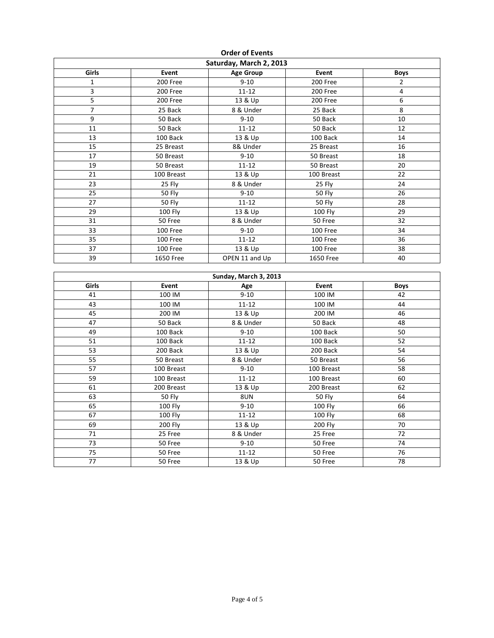| <b>UNCLUILVEIRS</b>     |                  |                       |                  |                         |  |  |  |  |  |  |
|-------------------------|------------------|-----------------------|------------------|-------------------------|--|--|--|--|--|--|
| Saturday, March 2, 2013 |                  |                       |                  |                         |  |  |  |  |  |  |
| Girls                   | Event            | <b>Age Group</b>      | Event            | <b>Boys</b>             |  |  |  |  |  |  |
| $\mathbf{1}$            | 200 Free         | $9 - 10$              | 200 Free         | $\overline{2}$          |  |  |  |  |  |  |
| 3                       | 200 Free         | $11 - 12$             | 200 Free         | $\overline{\mathbf{4}}$ |  |  |  |  |  |  |
| 5                       | 200 Free         | 13 & Up               | 200 Free         | 6                       |  |  |  |  |  |  |
| $\overline{7}$          | 25 Back          | 8 & Under             | 25 Back          | 8                       |  |  |  |  |  |  |
| 9                       | 50 Back          | $9 - 10$              | 50 Back          | 10                      |  |  |  |  |  |  |
| 11                      | 50 Back          | $11 - 12$             | 50 Back          | 12                      |  |  |  |  |  |  |
| 13                      | 100 Back         | 13 & Up               | 100 Back         | 14                      |  |  |  |  |  |  |
| $\overline{15}$         | 25 Breast        | 8& Under              | 25 Breast        | 16                      |  |  |  |  |  |  |
| 17                      | 50 Breast        | $9 - 10$              | 50 Breast        | 18                      |  |  |  |  |  |  |
| 19                      | 50 Breast        | $11 - 12$             | 50 Breast        | 20                      |  |  |  |  |  |  |
| 21                      | 100 Breast       | 13 & Up               | 100 Breast       | 22                      |  |  |  |  |  |  |
| 23                      | 25 Fly           | 8 & Under             | 25 Fly           | 24                      |  |  |  |  |  |  |
| 25                      | <b>50 Fly</b>    | $9 - 10$              | <b>50 Fly</b>    | 26                      |  |  |  |  |  |  |
| $\overline{27}$         | <b>50 Fly</b>    | $11 - 12$             | <b>50 Fly</b>    | $\overline{28}$         |  |  |  |  |  |  |
| 29                      | 100 Fly          | 13 & Up               | 100 Fly          | 29                      |  |  |  |  |  |  |
| 31                      | 50 Free          | 8 & Under             | 50 Free          | 32                      |  |  |  |  |  |  |
| 33                      | 100 Free         | $9 - 10$              | 100 Free         | 34                      |  |  |  |  |  |  |
| 35                      | 100 Free         | $11 - 12$             | 100 Free         | 36                      |  |  |  |  |  |  |
| 37                      | 100 Free         | 13 & Up               | 100 Free         | 38                      |  |  |  |  |  |  |
| 39                      | <b>1650 Free</b> | OPEN 11 and Up        | <b>1650 Free</b> | 40                      |  |  |  |  |  |  |
|                         |                  |                       |                  |                         |  |  |  |  |  |  |
|                         |                  | Sunday, March 3, 2013 |                  |                         |  |  |  |  |  |  |
| Girls                   | Event            | Age                   | Event            | <b>Boys</b>             |  |  |  |  |  |  |
| 41                      | 100 IM           | $9 - 10$              | 100 IM           | 42                      |  |  |  |  |  |  |
| 43                      | 100 IM           | $11 - 12$             | 100 IM           | 44                      |  |  |  |  |  |  |
| 45                      | 200 IM           | 13 & Up               | 200 IM           | 46                      |  |  |  |  |  |  |
| 47                      | 50 Back          | 8 & Under             | 50 Back          | 48                      |  |  |  |  |  |  |
| 49                      | 100 Back         | $9 - 10$              | 100 Back         | 50                      |  |  |  |  |  |  |
| 51                      | 100 Back         | $11 - 12$             | 100 Back         | 52                      |  |  |  |  |  |  |
| 53                      | 200 Back         | 13 & Up               | 200 Back         | 54                      |  |  |  |  |  |  |
| 55                      | 50 Breast        | 8 & Under             | 50 Breast        | 56                      |  |  |  |  |  |  |
| 57                      | 100 Breast       | $9 - 10$              | 100 Breast       | 58                      |  |  |  |  |  |  |
| 59                      | 100 Breast       | $11 - 12$             | 100 Breast       | 60                      |  |  |  |  |  |  |
| 61                      | 200 Breast       | 13 & Up               | 200 Breast       | 62                      |  |  |  |  |  |  |
| 63                      | <b>50 Fly</b>    | 8UN                   | <b>50 Fly</b>    | 64                      |  |  |  |  |  |  |
| 65                      | 100 Fly          | $9 - 10$              | 100 Fly          | 66                      |  |  |  |  |  |  |
| 67                      | <b>100 Fly</b>   | $11 - 12$             | 100 Fly          | 68                      |  |  |  |  |  |  |
| 69                      | 200 Fly          | 13 & Up               | 200 Fly          | 70                      |  |  |  |  |  |  |
| $\overline{71}$         | 25 Free          | 8 & Under             | 25 Free          | 72                      |  |  |  |  |  |  |
| $\overline{73}$         | 50 Free          | $9 - 10$              | 50 Free          | 74                      |  |  |  |  |  |  |
| 75                      | 50 Free          | $11 - 12$             | 50 Free          | 76                      |  |  |  |  |  |  |
| 77                      | 50 Free          | 13 & Up               | 50 Free          | 78                      |  |  |  |  |  |  |

**Order of Events**